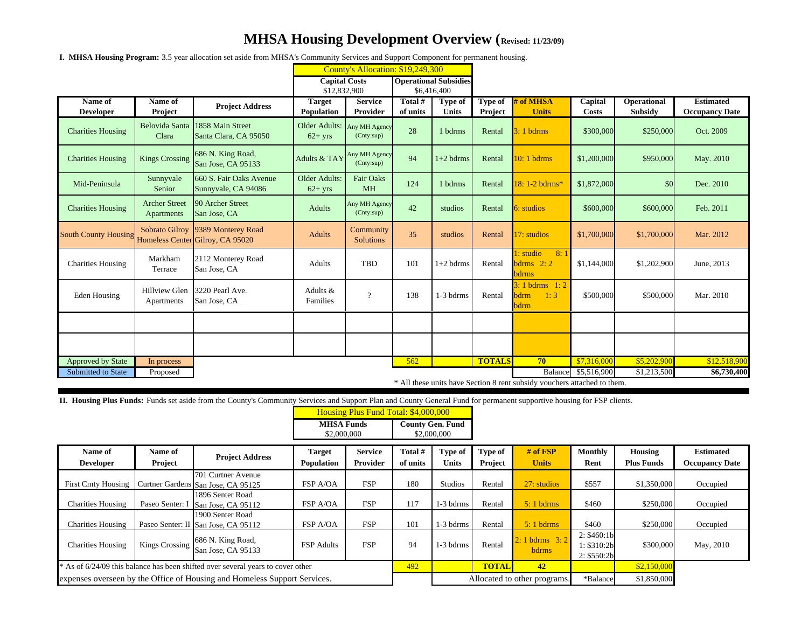## **MHSA Housing Development Overview (Revised: 11/23/09)**

**I. MHSA Housing Program:** 3.5 year allocation set aside from MHSA's Community Services and Support Component for permanent housing.

|                             |                                                                          |                                                                       | County's Allocation: \$19,249,300         |                               |                              |                                |                    |                                          |                  |                                      |                                           |
|-----------------------------|--------------------------------------------------------------------------|-----------------------------------------------------------------------|-------------------------------------------|-------------------------------|------------------------------|--------------------------------|--------------------|------------------------------------------|------------------|--------------------------------------|-------------------------------------------|
|                             |                                                                          |                                                                       | <b>Capital Costs</b>                      |                               | <b>Operational Subsidies</b> |                                |                    |                                          |                  |                                      |                                           |
|                             |                                                                          |                                                                       | \$12,832,900                              |                               | \$6,416,400                  |                                |                    |                                          |                  |                                      |                                           |
| Name of<br><b>Developer</b> | Name of<br>Project                                                       | <b>Project Address</b>                                                | <b>Target</b><br>Population               | <b>Service</b><br>Provider    | Total #<br>of units          | <b>Type of</b><br><b>Units</b> | Type of<br>Project | # of MHSA<br><b>Units</b>                | Capital<br>Costs | <b>Operational</b><br><b>Subsidy</b> | <b>Estimated</b><br><b>Occupancy Date</b> |
| <b>Charities Housing</b>    | <b>Belovida Santa</b><br>Clara                                           | 1858 Main Street<br>Santa Clara, CA 95050                             | Older Adults: Any MH Agency<br>$62 + yrs$ | (Cnty:sup)                    | 28                           | 1 bdrms                        | Rental             | $3:1$ bdrms                              | \$300,000        | \$250,000                            | Oct. 2009                                 |
| <b>Charities Housing</b>    | <b>Kings Crossing</b>                                                    | 686 N. King Road,<br>San Jose, CA 95133                               | Adults & TAY Any MH Agency                | (Cnty:sup)                    | 94                           | $1+2$ bdrms                    | Rental             | $10:1$ bdrms                             | \$1,200,000      | \$950,000                            | May. 2010                                 |
| Mid-Peninsula               | Sunnyvale<br>Senior                                                      | 660 S. Fair Oaks Avenue<br>Sunnyvale, CA 94086                        | Older Adults:<br>$62+yrs$                 | <b>Fair Oaks</b><br><b>MH</b> | 124                          | 1 bdrms                        | Rental             | 18:1-2 bdrms*                            | \$1,872,000      | <b>SO</b>                            | Dec. 2010                                 |
| <b>Charities Housing</b>    | <b>Archer Street</b><br>Apartments                                       | 90 Archer Street<br>San Jose, CA                                      | Adults                                    | Any MH Agency<br>(Cnty:sup)   | 42                           | studios                        | Rental             | 6: studios                               | \$600,000        | \$600,000                            | Feb. 2011                                 |
| <b>South County Housing</b> |                                                                          | Sobrato Gilroy 9389 Monterey Road<br>Homeless Center Gilroy, CA 95020 | Adults                                    | Community<br><b>Solutions</b> | 35                           | studios                        | Rental             | 17: studios                              | \$1,700,000      | \$1,700,000                          | Mar. 2012                                 |
| <b>Charities Housing</b>    | Markham<br>Terrace                                                       | 2112 Monterey Road<br>San Jose, CA                                    | Adults                                    | TBD                           | 101                          | $1+2$ bdrms                    | Rental             | 1: studio<br>8:1<br>bdrms $2:2$<br>bdrms | \$1,144,000      | \$1,202,900                          | June, 2013                                |
| Eden Housing                | <b>Hillview Glen</b><br>Apartments                                       | 3220 Pearl Ave.<br>San Jose, CA                                       | Adults &<br>Families                      | $\overline{?}$                | 138                          | 1-3 bdrms                      | Rental             | $3:1$ bdrms $1:2$<br>bdrm<br>1:3<br>bdrm | \$500,000        | \$500,000                            | Mar. 2010                                 |
|                             |                                                                          |                                                                       |                                           |                               |                              |                                |                    |                                          |                  |                                      |                                           |
|                             |                                                                          |                                                                       |                                           |                               |                              |                                |                    |                                          |                  |                                      |                                           |
| <b>Approved by State</b>    | In process                                                               |                                                                       |                                           |                               | 562                          |                                | <b>TOTALS</b>      | 70                                       | \$7,316,000      | \$5,202,900                          | \$12,518,900                              |
| <b>Submitted to State</b>   | Proposed                                                                 |                                                                       |                                           |                               |                              |                                |                    | Balance                                  | \$5,516,900      | \$1,213,500                          | \$6,730,400                               |
|                             | * All these units have Section 8 rent subsidy vouchers attached to them. |                                                                       |                                           |                               |                              |                                |                    |                                          |                  |                                      |                                           |

**II. Housing Plus Funds:** Funds set aside from the County's Community Services and Support Plan and County General Fund for permanent supportive housing for FSP clients.

|                                                                                 |                 |                                                          | Housing Plus Fund Total: \$4,000,000 |                 |                                        |                |                              |                            |                                           |                   |                       |
|---------------------------------------------------------------------------------|-----------------|----------------------------------------------------------|--------------------------------------|-----------------|----------------------------------------|----------------|------------------------------|----------------------------|-------------------------------------------|-------------------|-----------------------|
|                                                                                 |                 |                                                          | <b>MHSA Funds</b><br>\$2,000,000     |                 | <b>County Gen. Fund</b><br>\$2,000,000 |                |                              |                            |                                           |                   |                       |
| Name of                                                                         | Name of         | <b>Project Address</b>                                   | <b>Target</b>                        | <b>Service</b>  | Total #                                | <b>Type of</b> | Type of                      | $#$ of $FSP$               | <b>Monthly</b>                            | Housing           | <b>Estimated</b>      |
| <b>Developer</b>                                                                | Project         |                                                          | <b>Population</b>                    | <b>Provider</b> | of units                               | Units          | Project                      | <b>Units</b>               | Rent                                      | <b>Plus Funds</b> | <b>Occupancy Date</b> |
| <b>First Cmty Housing</b>                                                       |                 | 701 Curtner Avenue<br>Curtner Gardens San Jose, CA 95125 | FSP A/OA                             | <b>FSP</b>      | 180                                    | Studios        | Rental                       | 27: studios                | \$557                                     | \$1,350,000       | Occupied              |
| <b>Charities Housing</b>                                                        | Paseo Senter: I | 1896 Senter Road<br>San Jose, CA 95112                   | FSP A/OA                             | <b>FSP</b>      | 117                                    | 1-3 bdrms      | Rental                       | $5:1$ bdrms                | \$460                                     | \$250,000         | Occupied              |
| <b>Charities Housing</b>                                                        |                 | 1900 Senter Road<br>Paseo Senter: II San Jose, CA 95112  | FSP A/OA                             | <b>FSP</b>      | 101                                    | $1-3$ bdrms    | Rental                       | $5:1$ bdrms                | \$460                                     | \$250,000         | Occupied              |
| <b>Charities Housing</b>                                                        | Kings Crossing  | 686 N. King Road,<br>San Jose, CA 95133                  | <b>FSP</b> Adults                    | <b>FSP</b>      | 94                                     | 1-3 bdrms      | Rental                       | $2:1$ bdrms $3:2$<br>bdrms | 2: \$460:1b<br>1: \$310:2b<br>2: \$550:2b | \$300,000         | May, 2010             |
| * As of 6/24/09 this balance has been shifted over several years to cover other |                 |                                                          |                                      | 492             |                                        | <b>TOTAL</b>   | 42                           |                            | \$2,150,000                               |                   |                       |
| expenses overseen by the Office of Housing and Homeless Support Services.       |                 |                                                          |                                      |                 |                                        |                | Allocated to other programs. |                            |                                           | \$1,850,000       |                       |